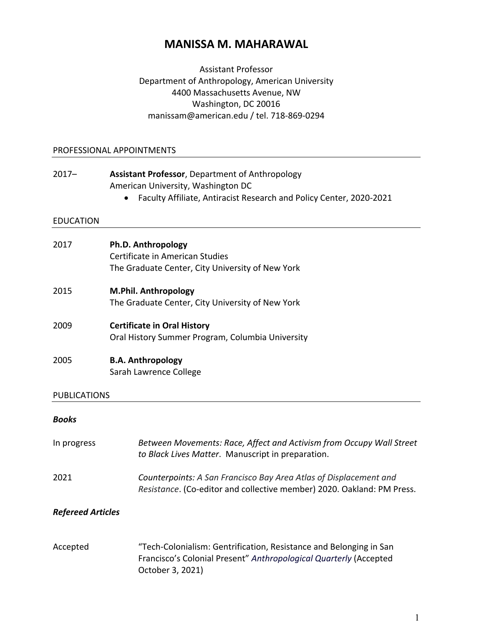# **MANISSA M. MAHARAWAL**

Assistant Professor Department of Anthropology, American University 4400 Massachusetts Avenue, NW Washington, DC 20016 manissam@american.edu / tel. 718-869-0294

#### PROFESSIONAL APPOINTMENTS

| $2017 -$            | Assistant Professor, Department of Anthropology<br>American University, Washington DC<br>Faculty Affiliate, Antiracist Research and Policy Center, 2020-2021 |
|---------------------|--------------------------------------------------------------------------------------------------------------------------------------------------------------|
| <b>EDUCATION</b>    |                                                                                                                                                              |
| 2017                | Ph.D. Anthropology<br>Certificate in American Studies<br>The Graduate Center, City University of New York                                                    |
| 2015                | <b>M.Phil. Anthropology</b><br>The Graduate Center, City University of New York                                                                              |
| 2009                | <b>Certificate in Oral History</b><br>Oral History Summer Program, Columbia University                                                                       |
| 2005                | <b>B.A. Anthropology</b><br>Sarah Lawrence College                                                                                                           |
| <b>PUBLICATIONS</b> |                                                                                                                                                              |
| <b>Books</b>        |                                                                                                                                                              |
| In progress         | Between Movements: Race, Affect and Activism from Occupy Wall Street<br>to Black Lives Matter. Manuscript in preparation.                                    |
| 2021                | Counterpoints: A San Francisco Bay Area Atlas of Displacement and                                                                                            |

#### *Refereed Articles*

Accepted "Tech-Colonialism: Gentrification, Resistance and Belonging in San Francisco's Colonial Present" *Anthropological Quarterly* (Accepted October 3, 2021)

*Resistance*. (Co-editor and collective member) 2020. Oakland: PM Press.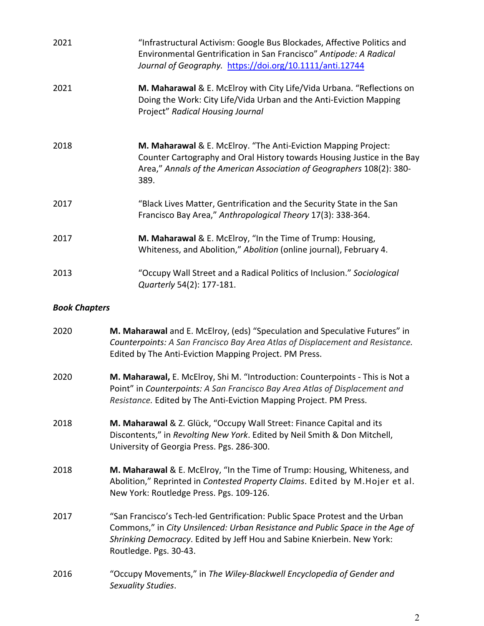| 2021                 | "Infrastructural Activism: Google Bus Blockades, Affective Politics and<br>Environmental Gentrification in San Francisco" Antipode: A Radical<br>Journal of Geography. https://doi.org/10.1111/anti.12744                                                          |
|----------------------|--------------------------------------------------------------------------------------------------------------------------------------------------------------------------------------------------------------------------------------------------------------------|
| 2021                 | M. Maharawal & E. McElroy with City Life/Vida Urbana. "Reflections on<br>Doing the Work: City Life/Vida Urban and the Anti-Eviction Mapping<br>Project" Radical Housing Journal                                                                                    |
| 2018                 | M. Maharawal & E. McElroy. "The Anti-Eviction Mapping Project:<br>Counter Cartography and Oral History towards Housing Justice in the Bay<br>Area," Annals of the American Association of Geographers 108(2): 380-<br>389.                                         |
| 2017                 | "Black Lives Matter, Gentrification and the Security State in the San<br>Francisco Bay Area," Anthropological Theory 17(3): 338-364.                                                                                                                               |
| 2017                 | M. Maharawal & E. McElroy, "In the Time of Trump: Housing,<br>Whiteness, and Abolition," Abolition (online journal), February 4.                                                                                                                                   |
| 2013                 | "Occupy Wall Street and a Radical Politics of Inclusion." Sociological<br>Quarterly 54(2): 177-181.                                                                                                                                                                |
| <b>Book Chapters</b> |                                                                                                                                                                                                                                                                    |
| 2020                 | M. Maharawal and E. McElroy, (eds) "Speculation and Speculative Futures" in<br>Counterpoints: A San Francisco Bay Area Atlas of Displacement and Resistance.<br>Edited by The Anti-Eviction Mapping Project. PM Press.                                             |
| 2020                 | M. Maharawal, E. McElroy, Shi M. "Introduction: Counterpoints - This is Not a<br>Point" in Counterpoints: A San Francisco Bay Area Atlas of Displacement and<br>Resistance. Edited by The Anti-Eviction Mapping Project. PM Press.                                 |
| 2018                 | M. Maharawal & Z. Glück, "Occupy Wall Street: Finance Capital and its<br>Discontents," in Revolting New York. Edited by Neil Smith & Don Mitchell,<br>University of Georgia Press. Pgs. 286-300.                                                                   |
| 2018                 | M. Maharawal & E. McElroy, "In the Time of Trump: Housing, Whiteness, and<br>Abolition," Reprinted in Contested Property Claims. Edited by M. Hojer et al.<br>New York: Routledge Press. Pgs. 109-126.                                                             |
| 2017                 | "San Francisco's Tech-led Gentrification: Public Space Protest and the Urban<br>Commons," in City Unsilenced: Urban Resistance and Public Space in the Age of<br>Shrinking Democracy. Edited by Jeff Hou and Sabine Knierbein. New York:<br>Routledge. Pgs. 30-43. |
| 2016                 | "Occupy Movements," in The Wiley-Blackwell Encyclopedia of Gender and<br>Sexuality Studies.                                                                                                                                                                        |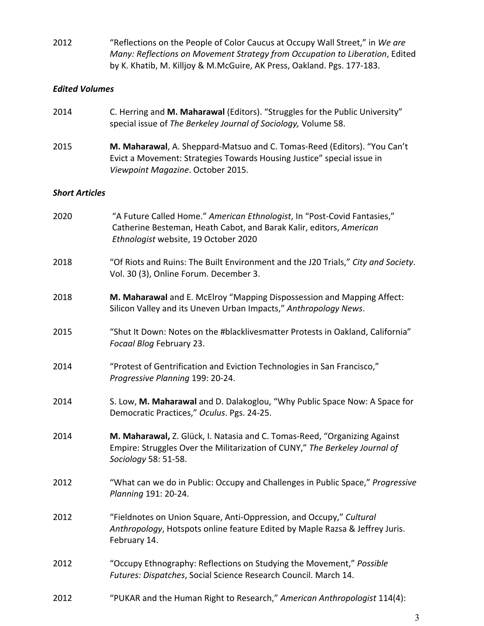2012 "Reflections on the People of Color Caucus at Occupy Wall Street," in *We are Many: Reflections on Movement Strategy from Occupation to Liberation*, Edited by K. Khatib, M. Killjoy & M.McGuire, AK Press, Oakland. Pgs. 177-183.

### *Edited Volumes*

| 2014                  | C. Herring and M. Maharawal (Editors). "Struggles for the Public University"<br>special issue of The Berkeley Journal of Sociology, Volume 58.                                          |
|-----------------------|-----------------------------------------------------------------------------------------------------------------------------------------------------------------------------------------|
| 2015                  | M. Maharawal, A. Sheppard-Matsuo and C. Tomas-Reed (Editors). "You Can't<br>Evict a Movement: Strategies Towards Housing Justice" special issue in<br>Viewpoint Magazine. October 2015. |
| <b>Short Articles</b> |                                                                                                                                                                                         |
| 2020                  | "A Future Called Home." American Ethnologist, In "Post-Covid Fantasies,"<br>Catherine Besteman, Heath Cabot, and Barak Kalir, editors, American<br>Ethnologist website, 19 October 2020 |
| 2018                  | "Of Riots and Ruins: The Built Environment and the J20 Trials," City and Society.<br>Vol. 30 (3), Online Forum. December 3.                                                             |
| 2018                  | M. Maharawal and E. McElroy "Mapping Dispossession and Mapping Affect:<br>Silicon Valley and its Uneven Urban Impacts," Anthropology News.                                              |
| 2015                  | "Shut It Down: Notes on the #blacklivesmatter Protests in Oakland, California"<br>Focaal Blog February 23.                                                                              |
| 2014                  | "Protest of Gentrification and Eviction Technologies in San Francisco,"<br>Progressive Planning 199: 20-24.                                                                             |
| 2014                  | S. Low, M. Maharawal and D. Dalakoglou, "Why Public Space Now: A Space for<br>Democratic Practices," Oculus. Pgs. 24-25.                                                                |
| 2014                  | M. Maharawal, Z. Glück, I. Natasia and C. Tomas-Reed, "Organizing Against<br>Empire: Struggles Over the Militarization of CUNY," The Berkeley Journal of<br>Sociology 58: 51-58.        |
| 2012                  | "What can we do in Public: Occupy and Challenges in Public Space," Progressive<br>Planning 191: 20-24.                                                                                  |
| 2012                  | "Fieldnotes on Union Square, Anti-Oppression, and Occupy," Cultural<br>Anthropology, Hotspots online feature Edited by Maple Razsa & Jeffrey Juris.<br>February 14.                     |
| 2012                  | "Occupy Ethnography: Reflections on Studying the Movement," Possible<br>Futures: Dispatches, Social Science Research Council. March 14.                                                 |

2012 "PUKAR and the Human Right to Research," *American Anthropologist* 114(4):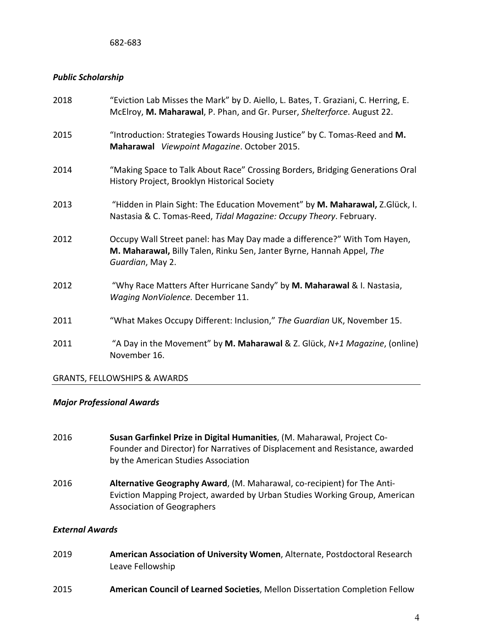#### *Public Scholarship*

| "Introduction: Strategies Towards Housing Justice" by C. Tomas-Reed and M.<br>2015<br>Maharawal Viewpoint Magazine. October 2015.<br>2014<br>History Project, Brooklyn Historical Society<br>2013<br>Nastasia & C. Tomas-Reed, Tidal Magazine: Occupy Theory. February.<br>Occupy Wall Street panel: has May Day made a difference?" With Tom Hayen,<br>2012<br>M. Maharawal, Billy Talen, Rinku Sen, Janter Byrne, Hannah Appel, The<br>Guardian, May 2.<br>"Why Race Matters After Hurricane Sandy" by M. Maharawal & I. Nastasia,<br>2012<br>Waging NonViolence. December 11.<br>"What Makes Occupy Different: Inclusion," The Guardian UK, November 15.<br>2011<br>2011<br>November 16. | 2018 | "Eviction Lab Misses the Mark" by D. Aiello, L. Bates, T. Graziani, C. Herring, E.<br>McElroy, M. Maharawal, P. Phan, and Gr. Purser, Shelterforce. August 22. |
|---------------------------------------------------------------------------------------------------------------------------------------------------------------------------------------------------------------------------------------------------------------------------------------------------------------------------------------------------------------------------------------------------------------------------------------------------------------------------------------------------------------------------------------------------------------------------------------------------------------------------------------------------------------------------------------------|------|----------------------------------------------------------------------------------------------------------------------------------------------------------------|
|                                                                                                                                                                                                                                                                                                                                                                                                                                                                                                                                                                                                                                                                                             |      |                                                                                                                                                                |
|                                                                                                                                                                                                                                                                                                                                                                                                                                                                                                                                                                                                                                                                                             |      | "Making Space to Talk About Race" Crossing Borders, Bridging Generations Oral                                                                                  |
|                                                                                                                                                                                                                                                                                                                                                                                                                                                                                                                                                                                                                                                                                             |      | "Hidden in Plain Sight: The Education Movement" by M. Maharawal, Z.Glück, I.                                                                                   |
|                                                                                                                                                                                                                                                                                                                                                                                                                                                                                                                                                                                                                                                                                             |      |                                                                                                                                                                |
|                                                                                                                                                                                                                                                                                                                                                                                                                                                                                                                                                                                                                                                                                             |      |                                                                                                                                                                |
|                                                                                                                                                                                                                                                                                                                                                                                                                                                                                                                                                                                                                                                                                             |      |                                                                                                                                                                |
|                                                                                                                                                                                                                                                                                                                                                                                                                                                                                                                                                                                                                                                                                             |      | "A Day in the Movement" by M. Maharawal & Z. Glück, N+1 Magazine, (online)                                                                                     |

### GRANTS, FELLOWSHIPS & AWARDS

### *Major Professional Awards*

- 2016 **Susan Garfinkel Prize in Digital Humanities**, (M. Maharawal, Project Co-Founder and Director) for Narratives of Displacement and Resistance, awarded by the American Studies Association
- 2016 **Alternative Geography Award**, (M. Maharawal, co-recipient) for The Anti-Eviction Mapping Project, awarded by Urban Studies Working Group, American Association of Geographers

### *External Awards*

- 2019 **American Association of University Women**, Alternate, Postdoctoral Research Leave Fellowship
- 2015 **American Council of Learned Societies**, Mellon Dissertation Completion Fellow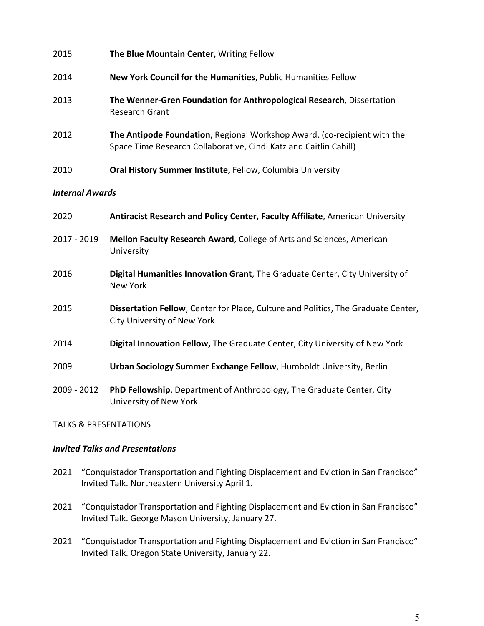| 2015                   | The Blue Mountain Center, Writing Fellow                                                                                                      |
|------------------------|-----------------------------------------------------------------------------------------------------------------------------------------------|
| 2014                   | New York Council for the Humanities, Public Humanities Fellow                                                                                 |
| 2013                   | The Wenner-Gren Foundation for Anthropological Research, Dissertation<br><b>Research Grant</b>                                                |
| 2012                   | The Antipode Foundation, Regional Workshop Award, (co-recipient with the<br>Space Time Research Collaborative, Cindi Katz and Caitlin Cahill) |
| 2010                   | Oral History Summer Institute, Fellow, Columbia University                                                                                    |
| <b>Internal Awards</b> |                                                                                                                                               |
| 2020                   | Antiracist Research and Policy Center, Faculty Affiliate, American University                                                                 |
| 2017 - 2019            | Mellon Faculty Research Award, College of Arts and Sciences, American<br>University                                                           |
| 2016                   | Digital Humanities Innovation Grant, The Graduate Center, City University of<br><b>New York</b>                                               |
| 2015                   | Dissertation Fellow, Center for Place, Culture and Politics, The Graduate Center,<br><b>City University of New York</b>                       |
| 2014                   | Digital Innovation Fellow, The Graduate Center, City University of New York                                                                   |
| 2009                   | Urban Sociology Summer Exchange Fellow, Humboldt University, Berlin                                                                           |
| 2009 - 2012            | PhD Fellowship, Department of Anthropology, The Graduate Center, City<br>University of New York                                               |

### TALKS & PRESENTATIONS

### *Invited Talks and Presentations*

- 2021 "Conquistador Transportation and Fighting Displacement and Eviction in San Francisco" Invited Talk. Northeastern University April 1.
- 2021 "Conquistador Transportation and Fighting Displacement and Eviction in San Francisco" Invited Talk. George Mason University, January 27.
- 2021 "Conquistador Transportation and Fighting Displacement and Eviction in San Francisco" Invited Talk. Oregon State University, January 22.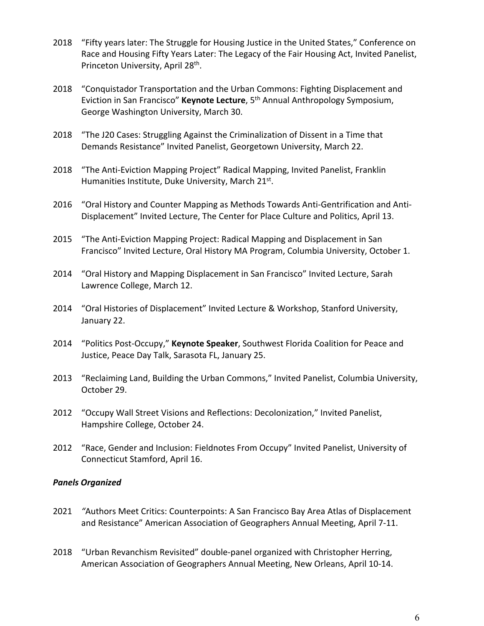- 2018 "Fifty years later: The Struggle for Housing Justice in the United States," Conference on Race and Housing Fifty Years Later: The Legacy of the Fair Housing Act, Invited Panelist, Princeton University, April 28<sup>th</sup>.
- 2018 "Conquistador Transportation and the Urban Commons: Fighting Displacement and Eviction in San Francisco" **Keynote Lecture**, 5th Annual Anthropology Symposium, George Washington University, March 30.
- 2018 "The J20 Cases: Struggling Against the Criminalization of Dissent in a Time that Demands Resistance" Invited Panelist, Georgetown University, March 22.
- 2018 "The Anti-Eviction Mapping Project" Radical Mapping, Invited Panelist, Franklin Humanities Institute, Duke University, March 21<sup>st</sup>.
- 2016 "Oral History and Counter Mapping as Methods Towards Anti-Gentrification and Anti-Displacement" Invited Lecture, The Center for Place Culture and Politics, April 13.
- 2015 "The Anti-Eviction Mapping Project: Radical Mapping and Displacement in San Francisco" Invited Lecture, Oral History MA Program, Columbia University, October 1.
- 2014 "Oral History and Mapping Displacement in San Francisco" Invited Lecture, Sarah Lawrence College, March 12.
- 2014 "Oral Histories of Displacement" Invited Lecture & Workshop, Stanford University, January 22.
- 2014 "Politics Post-Occupy," **Keynote Speaker**, Southwest Florida Coalition for Peace and Justice, Peace Day Talk, Sarasota FL, January 25.
- 2013 "Reclaiming Land, Building the Urban Commons," Invited Panelist, Columbia University, October 29.
- 2012 "Occupy Wall Street Visions and Reflections: Decolonization," Invited Panelist, Hampshire College, October 24.
- 2012 "Race, Gender and Inclusion: Fieldnotes From Occupy" Invited Panelist, University of Connecticut Stamford, April 16.

### *Panels Organized*

- 2021 *"*Authors Meet Critics: Counterpoints: A San Francisco Bay Area Atlas of Displacement and Resistance" American Association of Geographers Annual Meeting, April 7-11.
- 2018 "Urban Revanchism Revisited" double-panel organized with Christopher Herring, American Association of Geographers Annual Meeting, New Orleans, April 10-14.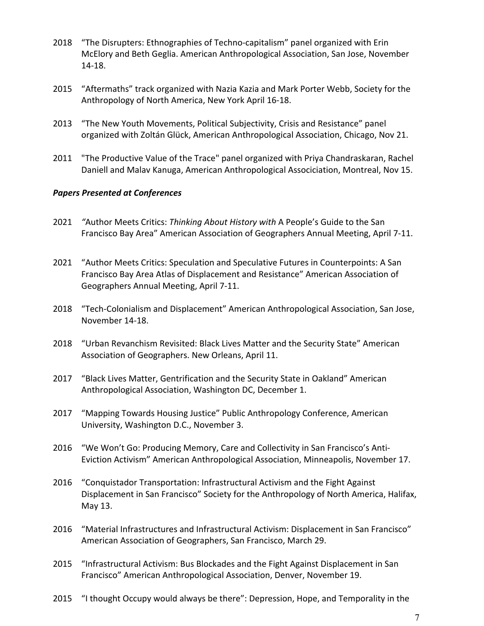- 2018 "The Disrupters: Ethnographies of Techno-capitalism" panel organized with Erin McElory and Beth Geglia. American Anthropological Association, San Jose, November 14-18.
- 2015 "Aftermaths" track organized with Nazia Kazia and Mark Porter Webb, Society for the Anthropology of North America, New York April 16-18.
- 2013 "The New Youth Movements, Political Subjectivity, Crisis and Resistance" panel organized with Zoltán Glück, American Anthropological Association, Chicago, Nov 21.
- 2011 "The Productive Value of the Trace" panel organized with Priya Chandraskaran, Rachel Daniell and Malav Kanuga, American Anthropological Associciation, Montreal, Nov 15.

### *Papers Presented at Conferences*

- 2021 *"*Author Meets Critics: *Thinking About History with* A People's Guide to the San Francisco Bay Area" American Association of Geographers Annual Meeting, April 7-11.
- 2021 "Author Meets Critics: Speculation and Speculative Futures in Counterpoints: A San Francisco Bay Area Atlas of Displacement and Resistance" American Association of Geographers Annual Meeting, April 7-11.
- 2018 "Tech-Colonialism and Displacement" American Anthropological Association, San Jose, November 14-18.
- 2018 "Urban Revanchism Revisited: Black Lives Matter and the Security State" American Association of Geographers. New Orleans, April 11.
- 2017 "Black Lives Matter, Gentrification and the Security State in Oakland" American Anthropological Association, Washington DC, December 1.
- 2017 "Mapping Towards Housing Justice" Public Anthropology Conference, American University, Washington D.C., November 3.
- 2016 "We Won't Go: Producing Memory, Care and Collectivity in San Francisco's Anti-Eviction Activism" American Anthropological Association, Minneapolis, November 17.
- 2016 "Conquistador Transportation: Infrastructural Activism and the Fight Against Displacement in San Francisco" Society for the Anthropology of North America, Halifax, May 13.
- 2016 "Material Infrastructures and Infrastructural Activism: Displacement in San Francisco" American Association of Geographers, San Francisco, March 29.
- 2015 "Infrastructural Activism: Bus Blockades and the Fight Against Displacement in San Francisco" American Anthropological Association, Denver, November 19.
- 2015 "I thought Occupy would always be there": Depression, Hope, and Temporality in the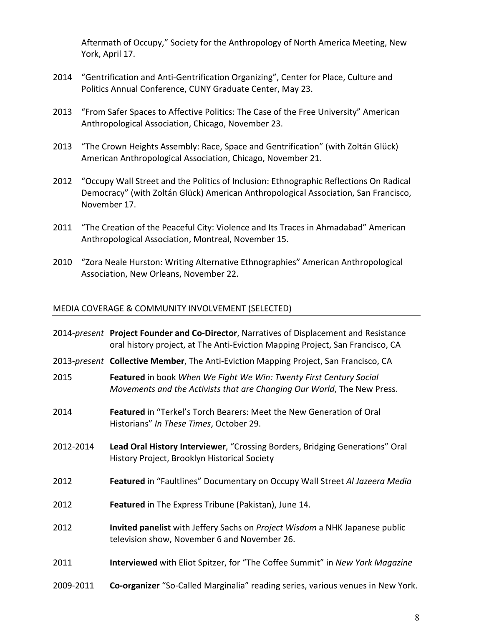Aftermath of Occupy," Society for the Anthropology of North America Meeting, New York, April 17.

- 2014 "Gentrification and Anti-Gentrification Organizing", Center for Place, Culture and Politics Annual Conference, CUNY Graduate Center, May 23.
- 2013 "From Safer Spaces to Affective Politics: The Case of the Free University" American Anthropological Association, Chicago, November 23.
- 2013 "The Crown Heights Assembly: Race, Space and Gentrification" (with Zoltán Glück) American Anthropological Association, Chicago, November 21.
- 2012 "Occupy Wall Street and the Politics of Inclusion: Ethnographic Reflections On Radical Democracy" (with Zoltán Glück) American Anthropological Association, San Francisco, November 17.
- 2011 "The Creation of the Peaceful City: Violence and Its Traces in Ahmadabad" American Anthropological Association, Montreal, November 15.
- 2010 "Zora Neale Hurston: Writing Alternative Ethnographies" American Anthropological Association, New Orleans, November 22.

### MEDIA COVERAGE & COMMUNITY INVOLVEMENT (SELECTED)

|           | 2014-present Project Founder and Co-Director, Narratives of Displacement and Resistance<br>oral history project, at The Anti-Eviction Mapping Project, San Francisco, CA |
|-----------|--------------------------------------------------------------------------------------------------------------------------------------------------------------------------|
|           | 2013-present Collective Member, The Anti-Eviction Mapping Project, San Francisco, CA                                                                                     |
| 2015      | Featured in book When We Fight We Win: Twenty First Century Social<br>Movements and the Activists that are Changing Our World, The New Press.                            |
| 2014      | Featured in "Terkel's Torch Bearers: Meet the New Generation of Oral<br>Historians" In These Times, October 29.                                                          |
| 2012-2014 | Lead Oral History Interviewer, "Crossing Borders, Bridging Generations" Oral<br>History Project, Brooklyn Historical Society                                             |
| 2012      | Featured in "Faultlines" Documentary on Occupy Wall Street Al Jazeera Media                                                                                              |
| 2012      | Featured in The Express Tribune (Pakistan), June 14.                                                                                                                     |
| 2012      | Invited panelist with Jeffery Sachs on Project Wisdom a NHK Japanese public<br>television show, November 6 and November 26.                                              |
| 2011      | Interviewed with Eliot Spitzer, for "The Coffee Summit" in New York Magazine                                                                                             |
| 2009-2011 | Co-organizer "So-Called Marginalia" reading series, various venues in New York.                                                                                          |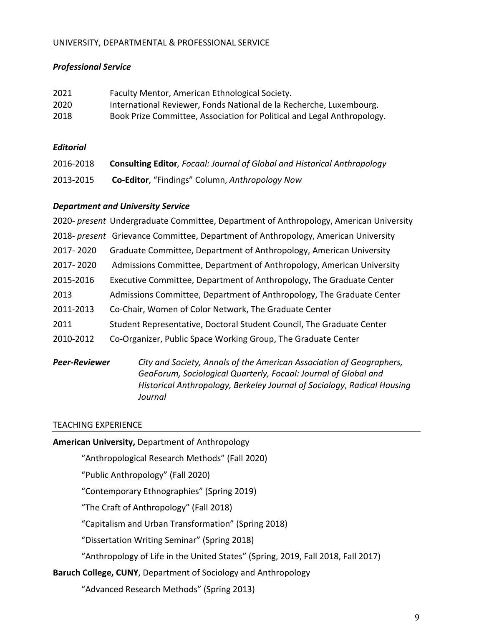## *Professional Service*

| 2021 | Faculty Mentor, American Ethnological Society.                          |
|------|-------------------------------------------------------------------------|
| 2020 | International Reviewer, Fonds National de la Recherche, Luxembourg.     |
| 2018 | Book Prize Committee, Association for Political and Legal Anthropology. |

### *Editorial*

| 2016-2018 | <b>Consulting Editor, Focaal: Journal of Global and Historical Anthropology</b> |
|-----------|---------------------------------------------------------------------------------|
| 2013-2015 | <b>Co-Editor, "Findings" Column, Anthropology Now</b>                           |

### *Department and University Service*

|           | 2020- present Undergraduate Committee, Department of Anthropology, American University |
|-----------|----------------------------------------------------------------------------------------|
|           | 2018- present Grievance Committee, Department of Anthropology, American University     |
| 2017-2020 | Graduate Committee, Department of Anthropology, American University                    |
| 2017-2020 | Admissions Committee, Department of Anthropology, American University                  |
| 2015-2016 | Executive Committee, Department of Anthropology, The Graduate Center                   |
| 2013      | Admissions Committee, Department of Anthropology, The Graduate Center                  |
| 2011-2013 | Co-Chair, Women of Color Network, The Graduate Center                                  |
| 2011      | Student Representative, Doctoral Student Council, The Graduate Center                  |
| 2010-2012 | Co-Organizer, Public Space Working Group, The Graduate Center                          |
|           |                                                                                        |

*Peer-Reviewer City and Society, Annals of the American Association of Geographers, GeoForum, Sociological Quarterly, Focaal: Journal of Global and Historical Anthropology, Berkeley Journal of Sociology*, *Radical Housing Journal* 

### TEACHING EXPERIENCE

### **American University,** Department of Anthropology

- "Anthropological Research Methods" (Fall 2020)
- "Public Anthropology" (Fall 2020)
- "Contemporary Ethnographies" (Spring 2019)
- "The Craft of Anthropology" (Fall 2018)
- "Capitalism and Urban Transformation" (Spring 2018)
- "Dissertation Writing Seminar" (Spring 2018)
- "Anthropology of Life in the United States" (Spring, 2019, Fall 2018, Fall 2017)

### **Baruch College, CUNY**, Department of Sociology and Anthropology

"Advanced Research Methods" (Spring 2013)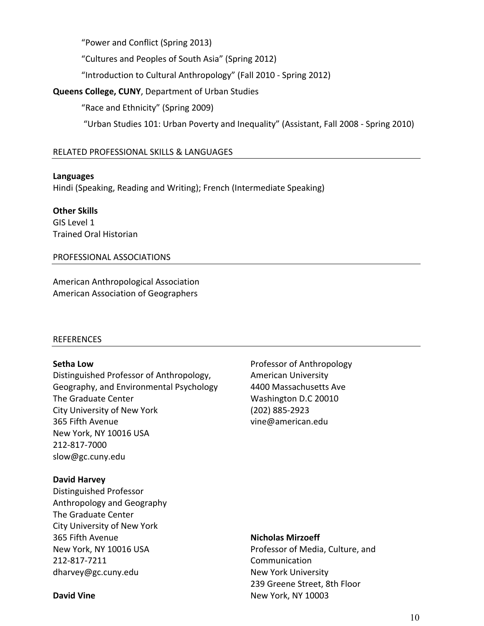"Power and Conflict (Spring 2013)

"Cultures and Peoples of South Asia" (Spring 2012)

"Introduction to Cultural Anthropology" (Fall 2010 - Spring 2012)

### **Queens College, CUNY**, Department of Urban Studies

"Race and Ethnicity" (Spring 2009)

"Urban Studies 101: Urban Poverty and Inequality" (Assistant, Fall 2008 - Spring 2010)

### RELATED PROFESSIONAL SKILLS & LANGUAGES

### **Languages**

Hindi (Speaking, Reading and Writing); French (Intermediate Speaking)

**Other Skills** GIS Level 1 Trained Oral Historian

### PROFESSIONAL ASSOCIATIONS

American Anthropological Association American Association of Geographers

### REFERENCES

### **Setha Low**

Distinguished Professor of Anthropology, Geography, and Environmental Psychology The Graduate Center City University of New York 365 Fifth Avenue New York, NY 10016 USA 212-817-7000 slow@gc.cuny.edu

### **David Harvey**

Distinguished Professor Anthropology and Geography The Graduate Center City University of New York 365 Fifth Avenue New York, NY 10016 USA 212-817-7211 dharvey@gc.cuny.edu

Professor of Anthropology American University 4400 Massachusetts Ave Washington D.C 20010 (202) 885-2923 vine@american.edu

### **Nicholas Mirzoeff**

Professor of Media, Culture, and Communication New York University 239 Greene Street, 8th Floor New York, NY 10003

#### **David Vine**